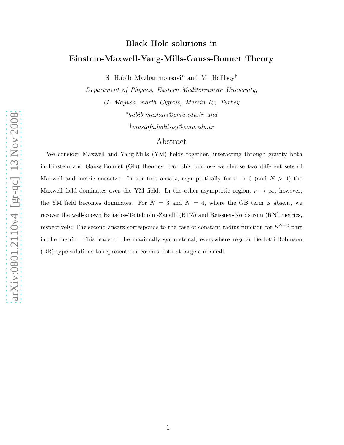# Black Hole solutions in Einstein-Maxwell-Yang-Mills-Gauss-Bonnet Theory

S. Habib Mazharimousavi <sup>∗</sup> and M. Halilsoy †

Department of Physics, Eastern Mediterranean University,

G. Magusa, north Cyprus, Mersin-10, Turkey <sup>∗</sup>habib.mazhari@emu.edu.tr and

†mustafa.halilsoy@emu.edu.tr

## Abstract

We consider Maxwell and Yang-Mills (YM) fields together, interacting through gravity both in Einstein and Gauss-Bonnet (GB) theories. For this purpose we choose two different sets of Maxwell and metric ansaetze. In our first ansatz, asymptotically for  $r \to 0$  (and  $N > 4$ ) the Maxwell field dominates over the YM field. In the other asymptotic region,  $r \to \infty$ , however, the YM field becomes dominates. For  $N = 3$  and  $N = 4$ , where the GB term is absent, we recover the well-known Bañados-Teitelboim-Zanelli (BTZ) and Reissner-Nordström (RN) metrics, respectively. The second ansatz corresponds to the case of constant radius function for  $S^{N-2}$  part in the metric. This leads to the maximally symmetrical, everywhere regular Bertotti-Robinson (BR) type solutions to represent our cosmos both at large and small.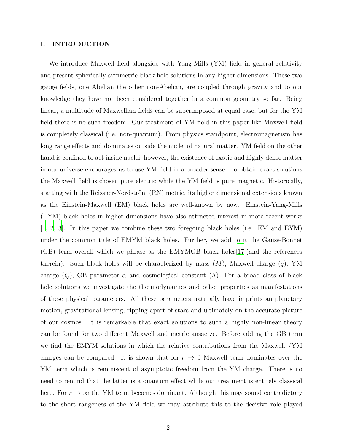## I. INTRODUCTION

We introduce Maxwell field alongside with Yang-Mills (YM) field in general relativity and present spherically symmetric black hole solutions in any higher dimensions. These two gauge fields, one Abelian the other non-Abelian, are coupled through gravity and to our knowledge they have not been considered together in a common geometry so far. Being linear, a multitude of Maxwellian fields can be superimposed at equal ease, but for the YM field there is no such freedom. Our treatment of YM field in this paper like Maxwell field is completely classical (i.e. non-quantum). From physics standpoint, electromagnetism has long range effects and dominates outside the nuclei of natural matter. YM field on the other hand is confined to act inside nuclei, however, the existence of exotic and highly dense matter in our universe encourages us to use YM field in a broader sense. To obtain exact solutions the Maxwell field is chosen pure electric while the YM field is pure magnetic. Historically, starting with the Reissner-Nordström (RN) metric, its higher dimensional extensions known as the Einstein-Maxwell (EM) black holes are well-known by now. Einstein-Yang-Mills (EYM) black holes in higher dimensions have also attracted interest in more recent works [\[1](#page-18-0), [2](#page-18-1), [3\]](#page-19-0). In this paper we combine these two foregoing black holes (i.e. EM and EYM) under the common title of EMYM black holes. Further, we add to it the Gauss-Bonnet (GB) term overall which we phrase as the EMYMGB black holes[\[17\]](#page-19-1)(and the references therein). Such black holes will be characterized by mass  $(M)$ , Maxwell charge  $(q)$ , YM charge (Q), GB parameter  $\alpha$  and cosmological constant ( $\Lambda$ ). For a broad class of black hole solutions we investigate the thermodynamics and other properties as manifestations of these physical parameters. All these parameters naturally have imprints an planetary motion, gravitational lensing, ripping apart of stars and ultimately on the accurate picture of our cosmos. It is remarkable that exact solutions to such a highly non-linear theory can be found for two different Maxwell and metric ansaetze. Before adding the GB term we find the EMYM solutions in which the relative contributions from the Maxwell /YM charges can be compared. It is shown that for  $r \to 0$  Maxwell term dominates over the YM term which is reminiscent of asymptotic freedom from the YM charge. There is no need to remind that the latter is a quantum effect while our treatment is entirely classical here. For  $r \to \infty$  the YM term becomes dominant. Although this may sound contradictory to the short rangeness of the YM field we may attribute this to the decisive role played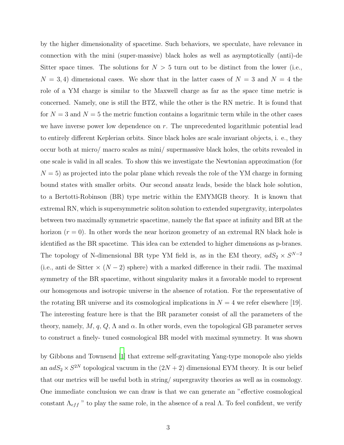by the higher dimensionality of spacetime. Such behaviors, we speculate, have relevance in connection with the mini (super-massive) black holes as well as asymptotically (anti)-de Sitter space times. The solutions for  $N > 5$  turn out to be distinct from the lower (i.e.,  $N = 3, 4$ ) dimensional cases. We show that in the latter cases of  $N = 3$  and  $N = 4$  the role of a YM charge is similar to the Maxwell charge as far as the space time metric is concerned. Namely, one is still the BTZ, while the other is the RN metric. It is found that for  $N = 3$  and  $N = 5$  the metric function contains a logaritmic term while in the other cases we have inverse power low dependence on  $r$ . The unprecedented logarithmic potential lead to entirely different Keplerian orbits. Since black holes are scale invariant objects, i. e., they occur both at micro/ macro scales as mini/ supermassive black holes, the orbits revealed in one scale is valid in all scales. To show this we investigate the Newtonian approximation (for  $N = 5$ ) as projected into the polar plane which reveals the role of the YM charge in forming bound states with smaller orbits. Our second ansatz leads, beside the black hole solution, to a Bertotti-Robinson (BR) type metric within the EMYMGB theory. It is known that extremal RN, which is supersymmetric soliton solution to extended supergravity, interpolates between two maximally symmetric spacetime, namely the flat space at infinity and BR at the horizon  $(r = 0)$ . In other words the near horizon geometry of an extremal RN black hole is identified as the BR spacetime. This idea can be extended to higher dimensions as p-branes. The topology of N-dimensional BR type YM field is, as in the EM theory,  $adS_2 \times S^{N-2}$ (i.e., anti de Sitter  $\times (N-2)$  sphere) with a marked difference in their radii. The maximal symmetry of the BR spacetime, without singularity makes it a favorable model to represent our homogenous and isotropic universe in the absence of rotation. For the representative of the rotating BR universe and its cosmological implications in  $N = 4$  we refer elsewhere [19]. The interesting feature here is that the BR parameter consist of all the parameters of the theory, namely,  $M$ ,  $q$ ,  $Q$ ,  $\Lambda$  and  $\alpha$ . In other words, even the topological GB parameter serves to construct a finely- tuned cosmological BR model with maximal symmetry. It was shown

by Gibbons and Townsend [\[1\]](#page-18-0) that extreme self-gravitating Yang-type monopole also yields an  $adS_2 \times S^{2N}$  topological vacuum in the  $(2N + 2)$  dimensional EYM theory. It is our belief that our metrics will be useful both in string/ supergravity theories as well as in cosmology. One immediate conclusion we can draw is that we can generate an "effective cosmological constant  $\Lambda_{eff}$  " to play the same role, in the absence of a real  $\Lambda$ . To feel confident, we verify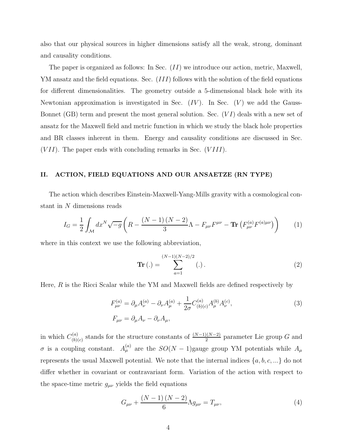also that our physical sources in higher dimensions satisfy all the weak, strong, dominant and causality conditions.

The paper is organized as follows: In Sec. (II) we introduce our action, metric, Maxwell, YM ansatz and the field equations. Sec. *(III)* follows with the solution of the field equations for different dimensionalities. The geometry outside a 5-dimensional black hole with its Newtonian approximation is investigated in Sec.  $(IV)$ . In Sec.  $(V)$  we add the Gauss-Bonnet (GB) term and present the most general solution. Sec.  $(VI)$  deals with a new set of ansatz for the Maxwell field and metric function in which we study the black hole properties and BR classes inherent in them. Energy and causality conditions are discussed in Sec.  $(VII)$ . The paper ends with concluding remarks in Sec.  $(VIII)$ .

#### II. ACTION, FIELD EQUATIONS AND OUR ANSAETZE (RN TYPE)

The action which describes Einstein-Maxwell-Yang-Mills gravity with a cosmological constant in N dimensions reads

$$
I_G = \frac{1}{2} \int_{\mathcal{M}} dx^N \sqrt{-g} \left( R - \frac{(N-1)(N-2)}{3} \Lambda - F_{\mu\nu} F^{\mu\nu} - \mathbf{Tr} \left( F_{\mu\nu}^{(a)} F^{(a)\mu\nu} \right) \right) \tag{1}
$$

where in this context we use the following abbreviation,

$$
\mathbf{Tr}\left(.\right) = \sum_{a=1}^{(N-1)(N-2)/2} (\cdot).
$$
 (2)

Here, R is the Ricci Scalar while the YM and Maxwell fields are defined respectively by

$$
F_{\mu\nu}^{(a)} = \partial_{\mu}A_{\nu}^{(a)} - \partial_{\nu}A_{\mu}^{(a)} + \frac{1}{2\sigma}C_{(b)(c)}^{(a)}A_{\mu}^{(b)}A_{\nu}^{(c)},
$$
\n
$$
F_{\mu\nu} = \partial_{\mu}A_{\nu} - \partial_{\nu}A_{\mu},
$$
\n(3)

in which  $C_{(b)}^{(a)}$  $\binom{(a)}{(b)(c)}$  stands for the structure constants of  $\frac{(N-1)(N-2)}{2}$  parameter Lie group G and  $\sigma$  is a coupling constant.  $A_{\mu}^{(a)}$  are the  $SO(N-1)$ gauge group YM potentials while  $A_{\mu}$ represents the usual Maxwell potential. We note that the internal indices  $\{a, b, c, ...\}$  do not differ whether in covariant or contravariant form. Variation of the action with respect to the space-time metric  $g_{\mu\nu}$  yields the field equations

$$
G_{\mu\nu} + \frac{(N-1)(N-2)}{6} \Lambda g_{\mu\nu} = T_{\mu\nu},\tag{4}
$$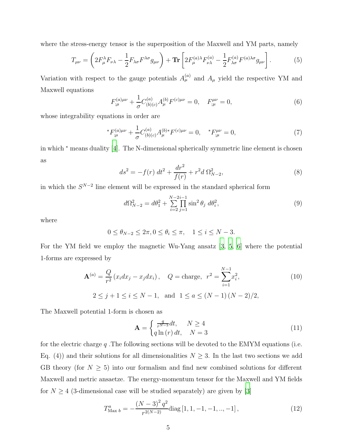where the stress-energy tensor is the superposition of the Maxwell and YM parts, namely

$$
T_{\mu\nu} = \left(2F_{\mu}^{\lambda}F_{\nu\lambda} - \frac{1}{2}F_{\lambda\sigma}F^{\lambda\sigma}g_{\mu\nu}\right) + \mathbf{Tr}\left[2F_{\mu}^{(a)\lambda}F_{\nu\lambda}^{(a)} - \frac{1}{2}F_{\lambda\sigma}^{(a)}F^{(a)\lambda\sigma}g_{\mu\nu}\right].\tag{5}
$$

Variation with respect to the gauge potentials  $A_{\mu}^{(a)}$  and  $A_{\mu}$  yield the respective YM and Maxwell equations

$$
F_{;\mu}^{(a)\mu\nu} + \frac{1}{\sigma} C_{(b)(c)}^{(a)} A_{\mu}^{(b)} F^{(c)\mu\nu} = 0, \quad F_{;\mu}^{\mu\nu} = 0,
$$
\n(6)

whose integrability equations in order are

$$
{}^{*}F^{(a)\mu\nu}_{;\mu} + \frac{1}{\sigma} C^{(a)}_{(b)(c)} A^{(b)*}_{\mu} F^{(c)\mu\nu} = 0, \quad {}^{*}F^{ \mu\nu}_{;\mu} = 0,\tag{7}
$$

in which <sup>∗</sup> means duality [\[4](#page-19-2)]. The N-dimensional spherically symmetric line element is chosen as

$$
ds^{2} = -f(r) dt^{2} + \frac{dr^{2}}{f(r)} + r^{2}d \Omega_{N-2}^{2},
$$
\n(8)

in which the  $S^{N-2}$  line element will be expressed in the standard spherical form

$$
d\Omega_{N-2}^2 = d\theta_1^2 + \sum_{i=2}^{N-2i-1} \prod_{j=1}^{N-2i-1} \sin^2 \theta_j \ d\theta_i^2,
$$
\n(9)

where

$$
0 \le \theta_{N-2} \le 2\pi, 0 \le \theta_i \le \pi, \quad 1 \le i \le N-3.
$$

For the YM field we employ the magnetic Wu-Yang ansatz [\[3,](#page-19-0) [5](#page-19-3), [6\]](#page-19-4) where the potential 1-forms are expressed by

$$
\mathbf{A}^{(a)} = \frac{Q}{r^2} (x_i dx_j - x_j dx_i), \quad Q = \text{charge}, \quad r^2 = \sum_{i=1}^{N-1} x_i^2,
$$
\n
$$
2 \le j+1 \le i \le N-1, \text{ and } 1 \le a \le (N-1)(N-2)/2,
$$
\n(10)

The Maxwell potential 1-form is chosen as

$$
\mathbf{A} = \begin{cases} \frac{q}{r^{N-3}} dt, & N \ge 4\\ q \ln(r) dt, & N = 3 \end{cases}
$$
(11)

for the electric charge  $q$ . The following sections will be devoted to the EMYM equations (i.e. Eq. (4)) and their solutions for all dimensionalities  $N \geq 3$ . In the last two sections we add GB theory (for  $N \geq 5$ ) into our formalism and find new combined solutions for different Maxwell and metric ansaetze. The energy-momentum tensor for the Maxwell and YM fields for  $N \geq 4$  (3-dimensional case will be studied separately) are given by [\[3](#page-19-0)]

$$
T_{\text{Max }b}^{a} = -\frac{(N-3)^{2} q^{2}}{r^{2(N-2)}} \text{diag}\left[1, 1, -1, -1, \dots, -1\right],\tag{12}
$$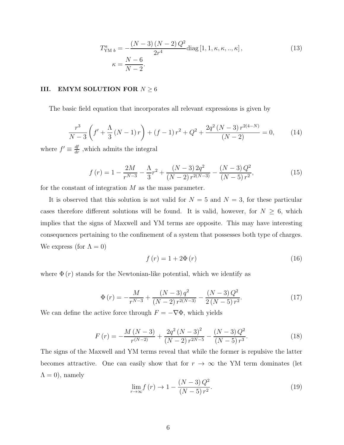$$
T_{\text{YM }b}^{a} = \frac{(N-3)(N-2)Q^{2}}{2r^{4}} \text{diag}\left[1, 1, \kappa, \kappa, ..., \kappa\right],
$$
\n
$$
\kappa = \frac{N-6}{N-2}.
$$
\n(13)

## III. EMYM SOLUTION FOR  $N \geq 6$

The basic field equation that incorporates all relevant expressions is given by

$$
\frac{r^3}{N-3}\left(f' + \frac{\Lambda}{3}\left(N-1\right)r\right) + \left(f-1\right)r^2 + Q^2 + \frac{2q^2\left(N-3\right)r^{2(4-N)}}{\left(N-2\right)} = 0,\tag{14}
$$

where  $f' \equiv \frac{df}{dr}$ , which admits the integral

$$
f(r) = 1 - \frac{2M}{r^{N-3}} - \frac{\Lambda}{3}r^2 + \frac{(N-3)2q^2}{(N-2)r^{2(N-3)}} - \frac{(N-3)Q^2}{(N-5)r^2},
$$
\n(15)

for the constant of integration M as the mass parameter.

It is observed that this solution is not valid for  $N = 5$  and  $N = 3$ , for these particular cases therefore different solutions will be found. It is valid, however, for  $N \geq 6$ , which implies that the signs of Maxwell and YM terms are opposite. This may have interesting consequences pertaining to the confinement of a system that possesses both type of charges. We express (for  $\Lambda = 0$ )

$$
f\left(r\right) = 1 + 2\Phi\left(r\right) \tag{16}
$$

where  $\Phi(r)$  stands for the Newtonian-like potential, which we identify as

$$
\Phi(r) = -\frac{M}{r^{N-3}} + \frac{(N-3)q^2}{(N-2)q^{2(N-3)}} - \frac{(N-3)Q^2}{2(N-5)q^2}.
$$
\n(17)

We can define the active force through  $F = -\nabla \Phi$ , which yields

$$
F(r) = -\frac{M\left(N-3\right)}{r^{(N-2)}} + \frac{2q^2\left(N-3\right)^2}{\left(N-2\right)r^{2N-5}} - \frac{\left(N-3\right)Q^2}{\left(N-5\right)r^3}.\tag{18}
$$

The signs of the Maxwell and YM terms reveal that while the former is repulsive the latter becomes attractive. One can easily show that for  $r \to \infty$  the YM term dominates (let  $\Lambda = 0$ ), namely

$$
\lim_{r \to \infty} f(r) \to 1 - \frac{(N-3)Q^2}{(N-5)r^2}.
$$
\n(19)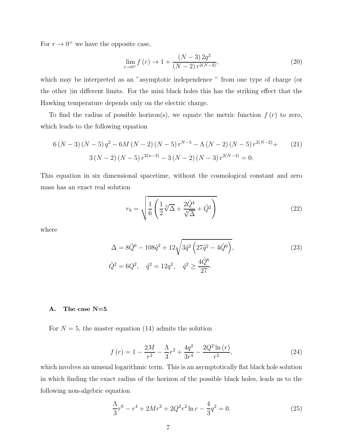For  $r \to 0^+$  we have the opposite case,

$$
\lim_{r \to 0^+} f(r) \to 1 + \frac{(N-3)2q^2}{(N-2) r^{2(N-3)}},\tag{20}
$$

which may be interpreted as an "asymptotic independence " from one type of charge (or the other )in different limits. For the mini black holes this has the striking effect that the Hawking temperature depends only on the electric charge.

To find the radius of possible horizon(s), we equate the metric function  $f(r)$  to zero, which leads to the following equation

$$
6(N-3)(N-5)q^{2} - 6M(N-2)(N-5)r^{N-3} - \Lambda(N-2)(N-5)r^{2(N-2)} + (21)
$$

$$
3(N-2)(N-5)r^{2(n-3)} - 3(N-2)(N-3)r^{2(N-4)} = 0.
$$

This equation in six dimensional spacetime, without the cosmological constant and zero mass has an exact real solution

$$
r_h = \sqrt{\frac{1}{6} \left( \frac{1}{2} \sqrt[3]{\Delta} + \frac{2 \tilde{Q}^4}{\sqrt[3]{\Delta}} + \tilde{Q}^2 \right)}
$$
(22)

where

$$
\Delta = 8\tilde{Q}^6 - 108\tilde{q}^2 + 12\sqrt{3\tilde{q}^2 \left(27\tilde{q}^2 - 4\tilde{Q}^6\right)},
$$
  
\n
$$
\tilde{Q}^2 = 6Q^2, \quad \tilde{q}^2 = 12q^2, \quad \tilde{q}^2 \ge \frac{4\tilde{Q}^6}{27}.
$$
\n(23)

## A. The case N=5

For  $N = 5$ , the master equation (14) admits the solution

$$
f(r) = 1 - \frac{2M}{r^2} - \frac{\Lambda}{3}r^2 + \frac{4q^2}{3r^4} - \frac{2Q^2 \ln(r)}{r^2},
$$
\n(24)

which involves an unusual logarithmic term. This is an asymptotically flat black hole solution in which finding the exact radius of the horizon of the possible black holes, leads us to the following non-algebric equation

$$
\frac{\Lambda}{3}r^6 - r^4 + 2Mr^2 + 2Q^2r^2 \ln r - \frac{4}{3}q^2 = 0.
$$
 (25)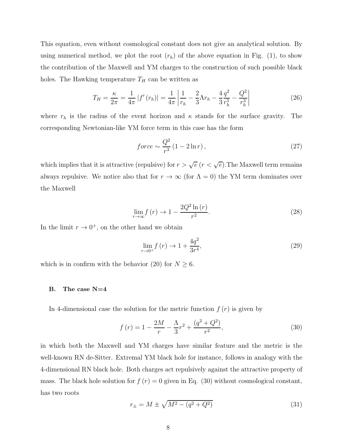This equation, even without cosmological constant does not give an analytical solution. By using numerical method, we plot the root  $(r_h)$  of the above equation in Fig. (1), to show the contribution of the Maxwell and YM charges to the construction of such possible black holes. The Hawking temperature  $T_H$  can be written as

$$
T_H = \frac{\kappa}{2\pi} = \frac{1}{4\pi} |f'(r_h)| = \frac{1}{4\pi} \left| \frac{1}{r_h} - \frac{2}{3} \Lambda r_h - \frac{4}{3} \frac{q^2}{r_h^5} - \frac{Q^2}{r_h^3} \right| \tag{26}
$$

where  $r_h$  is the radius of the event horizon and  $\kappa$  stands for the surface gravity. The corresponding Newtonian-like YM force term in this case has the form

$$
force \sim \frac{Q^2}{r^3} \left(1 - 2\ln r\right),\tag{27}
$$

which implies that it is attractive (repulsive) for  $r > \sqrt{e}$   $(r < \sqrt{e}$ ). The Maxwell term remains always repulsive. We notice also that for  $r \to \infty$  (for  $\Lambda = 0$ ) the YM term dominates over the Maxwell

$$
\lim_{r \to \infty} f(r) \to 1 - \frac{2Q^2 \ln(r)}{r^2}.
$$
\n(28)

In the limit  $r \to 0^+$ , on the other hand we obtain

$$
\lim_{r \to 0^+} f(r) \to 1 + \frac{4q^2}{3r^4},\tag{29}
$$

which is in confirm with the behavior (20) for  $N \geq 6$ .

#### B. The case N=4

In 4-dimensional case the solution for the metric function  $f(r)$  is given by

$$
f(r) = 1 - \frac{2M}{r} - \frac{\Lambda}{3}r^2 + \frac{(q^2 + Q^2)}{r^2},
$$
\n(30)

in which both the Maxwell and YM charges have similar feature and the metric is the well-known RN de-Sitter. Extremal YM black hole for instance, follows in analogy with the 4-dimensional RN black hole. Both charges act repulsively against the attractive property of mass. The black hole solution for  $f(r) = 0$  given in Eq. (30) without cosmological constant, has two roots

$$
r_{\pm} = M \pm \sqrt{M^2 - (q^2 + Q^2)}
$$
\n(31)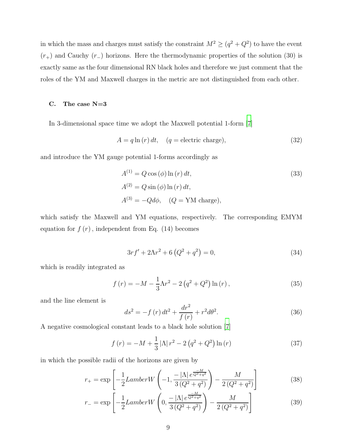in which the mass and charges must satisfy the constraint  $M^2 \geq (q^2 + Q^2)$  to have the event  $(r_{+})$  and Cauchy  $(r_{-})$  horizons. Here the thermodynamic properties of the solution (30) is exactly same as the four dimensional RN black holes and therefore we just comment that the roles of the YM and Maxwell charges in the metric are not distinguished from each other.

## C. The case N=3

In 3-dimensional space time we adopt the Maxwell potential 1-form [\[7\]](#page-19-5)

$$
A = q \ln(r) dt, \quad (q = electric charge), \tag{32}
$$

and introduce the YM gauge potential 1-forms accordingly as

$$
A^{(1)} = Q \cos(\phi) \ln(r) dt,
$$
  
\n
$$
A^{(2)} = Q \sin(\phi) \ln(r) dt,
$$
  
\n
$$
A^{(3)} = -Qd\phi, \quad (Q = \text{YM charge}),
$$
\n(33)

which satisfy the Maxwell and YM equations, respectively. The corresponding EMYM equation for  $f(r)$ , independent from Eq. (14) becomes

$$
3rf' + 2\Lambda r^2 + 6(Q^2 + q^2) = 0,
$$
\n(34)

which is readily integrated as

$$
f(r) = -M - \frac{1}{3}\Lambda r^2 - 2(q^2 + Q^2)\ln(r),
$$
\n(35)

and the line element is

$$
ds^{2} = -f(r) dt^{2} + \frac{dr^{2}}{f(r)} + r^{2} d\theta^{2}.
$$
 (36)

A negative cosmological constant leads to a black hole solution [\[7\]](#page-19-5)

$$
f(r) = -M + \frac{1}{3} |\Lambda| r^2 - 2 (q^2 + Q^2) \ln(r)
$$
 (37)

in which the possible radii of the horizons are given by

$$
r_{+} = \exp\left[-\frac{1}{2}LamberW\left(-1, \frac{-|\Lambda|e^{\frac{-M}{Q^{2}+q^{2}}}}{3(Q^{2}+q^{2})}\right) - \frac{M}{2(Q^{2}+q^{2})}\right]
$$
(38)

$$
r_{-} = \exp\left[-\frac{1}{2}LamberW\left(0, \frac{-|\Lambda|e^{\frac{-M}{Q^2+q^2}}}{3(Q^2+q^2)}\right) - \frac{M}{2(Q^2+q^2)}\right]
$$
(39)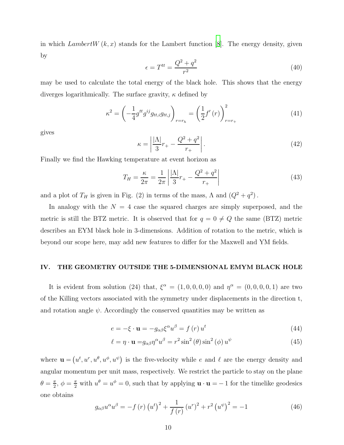in which LambertW  $(k, x)$  stands for the Lambert function [\[8\]](#page-19-6). The energy density, given by

$$
\epsilon = T^{tt} = \frac{Q^2 + q^2}{r^2} \tag{40}
$$

may be used to calculate the total energy of the black hole. This shows that the energy diverges logarithmically. The surface gravity,  $\kappa$  defined by

$$
\kappa^{2} = \left(-\frac{1}{4}g^{tt}g^{ij}g_{tt,i}g_{tt,j}\right)_{r=r_{h}} = \left(\frac{1}{2}f'(r)\right)_{r=r_{+}}^{2}
$$
(41)

gives

$$
\kappa = \left| \frac{|\Lambda|}{3} r_+ - \frac{Q^2 + q^2}{r_+} \right|.
$$
\n(42)

Finally we find the Hawking temperature at event horizon as

$$
T_H = \frac{\kappa}{2\pi} = \frac{1}{2\pi} \left| \frac{|\Lambda|}{3} r_+ - \frac{Q^2 + q^2}{r_+} \right| \tag{43}
$$

and a plot of  $T_H$  is given in Fig. (2) in terms of the mass,  $\Lambda$  and  $(Q^2 + q^2)$ .

In analogy with the  $N = 4$  case the squared charges are simply superposed, and the metric is still the BTZ metric. It is observed that for  $q = 0 \neq Q$  the same (BTZ) metric describes an EYM black hole in 3-dimensions. Addition of rotation to the metric, which is beyond our scope here, may add new features to differ for the Maxwell and YM fields.

## IV. THE GEOMETRY OUTSIDE THE 5-DIMENSIONAL EMYM BLACK HOLE

It is evident from solution (24) that,  $\xi^{\alpha} = (1,0,0,0,0)$  and  $\eta^{\alpha} = (0,0,0,0,1)$  are two of the Killing vectors associated with the symmetry under displacements in the direction t, and rotation angle  $\psi$ . Accordingly the conserved quantities may be written as

$$
e = -\xi \cdot \mathbf{u} = -g_{\alpha\beta}\xi^{\alpha}u^{\beta} = f(r)u^{t}
$$
\n(44)

$$
\ell = \eta \cdot \mathbf{u} = g_{\alpha\beta}\eta^{\alpha}u^{\beta} = r^2\sin^2(\theta)\sin^2(\phi)u^{\psi}
$$
 (45)

where  $\mathbf{u} = (u^t, u^r, u^{\theta}, u^{\psi}, u^{\psi})$  is the five-velocity while e and  $\ell$  are the energy density and angular momentum per unit mass, respectively. We restrict the particle to stay on the plane  $\theta = \frac{\pi}{2}$  $\frac{\pi}{2}$ ,  $\phi = \frac{\pi}{2}$  with  $u^{\theta} = u^{\phi} = 0$ , such that by applying  $\mathbf{u} \cdot \mathbf{u} = -1$  for the timelike geodesics one obtains

$$
g_{\alpha\beta}u^{\alpha}u^{\beta} = -f(r)\left(u^{t}\right)^{2} + \frac{1}{f(r)}\left(u^{r}\right)^{2} + r^{2}\left(u^{\psi}\right)^{2} = -1
$$
\n(46)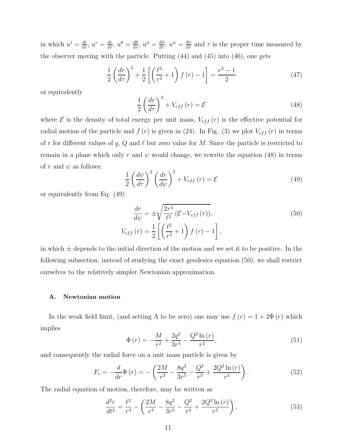in which  $u^t = \frac{dt}{d\tau}$ ,  $u^r = \frac{dr}{d\tau}$ ,  $u^{\theta} = \frac{d\theta}{d\tau}$ ,  $u^{\phi} = \frac{d\phi}{d\tau}$ ,  $u^{\psi} = \frac{d\psi}{d\tau}$  and  $\tau$  is the proper time measured by the observer moving with the particle. Putting (44) and (45) into (46), one gets

$$
\frac{1}{2}\left(\frac{dr}{d\tau}\right)^{2} + \frac{1}{2}\left[\left(\frac{\ell^{2}}{r^{2}} + 1\right)f\left(r\right) - 1\right] = \frac{e^{2} - 1}{2} \tag{47}
$$

or equivalently

$$
\frac{1}{2} \left( \frac{dr}{d\tau} \right)^2 + V_{eff}(r) = \mathcal{E}
$$
\n(48)

where  $\mathcal E$  is the density of total energy per unit mass,  $V_{eff}(r)$  is the effective potential for radial motion of the particle and  $f(r)$  is given in (24). In Fig. (3) we plot  $V_{eff}(r)$  in terms of r for different values of q, Q and  $\ell$  but zero value for M. Since the particle is restricted to remain in a plane which only r and  $\psi$  would change, we rewrite the equation (48) in terms of r and  $\psi$  as follows:

$$
\frac{1}{2} \left( \frac{d\psi}{d\tau} \right)^2 \left( \frac{dr}{d\psi} \right)^2 + V_{eff}(r) = \mathcal{E}
$$
\n(49)

or equivalently from Eq. (49)

$$
\frac{dr}{d\psi} = \pm \sqrt{\frac{2r^4}{\ell^2} \left(\mathcal{E} - V_{eff}(r)\right)},
$$
\n
$$
V_{eff}(r) = \frac{1}{2} \left[ \left(\frac{\ell^2}{r^2} + 1\right) f(r) - 1 \right],
$$
\n(50)

in which  $\pm$  depends to the initial direction of the motion and we set it to be positive. In the following subsection, instead of studying the exact geodesics equation (50), we shall restrict ourselves to the relatively simpler Newtonian approximation.

## A. Newtonian motion

In the weak field limit, (and setting  $\Lambda$  to be zero) one may use  $f(r) = 1 + 2\Phi(r)$  which implies

$$
\Phi(r) = -\frac{M}{r^2} + \frac{2q^2}{3r^4} - \frac{Q^2 \ln(r)}{r^2},\tag{51}
$$

and consequently the radial force on a unit mass particle is given by

$$
F_r = -\frac{d}{dr}\Phi(r) = -\left(\frac{2M}{r^3} - \frac{8q^2}{3r^5} - \frac{Q^2}{r^3} + \frac{2Q^2\ln(r)}{r^3}\right). \tag{52}
$$

The radial equation of motion, therefore, may be written as

$$
\frac{d^2r}{dt^2} = \frac{\ell^2}{r^3} - \left(\frac{2M}{r^3} - \frac{8q^2}{3r^5} - \frac{Q^2}{r^3} + \frac{2Q^2\ln(r)}{r^3}\right),\tag{53}
$$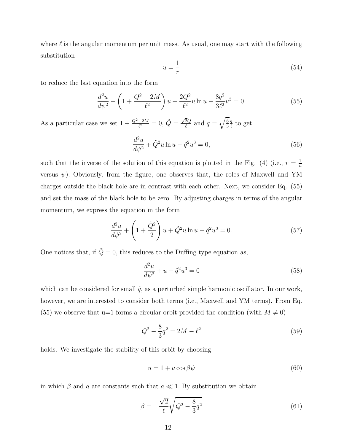where  $\ell$  is the angular momentum per unit mass. As usual, one may start with the following substitution

$$
u = -\frac{1}{r} \tag{54}
$$

to reduce the last equation into the form

$$
\frac{d^2u}{d\psi^2} + \left(1 + \frac{Q^2 - 2M}{\ell^2}\right)u + \frac{2Q^2}{\ell^2}u\ln u - \frac{8q^2}{3\ell^2}u^3 = 0.
$$
\n(55)

As a particular case we set  $1 + \frac{Q^2 - 2M}{\ell^2} = 0$ ,  $\tilde{Q} = \frac{\sqrt{2}Q}{\ell}$  $\frac{\overline{2}Q}{\ell}$  and  $\tilde{q}=\sqrt{\frac{8}{3}}$ q  $\frac{q}{\ell}$  to get

$$
\frac{d^2u}{d\psi^2} + \tilde{Q}^2u \ln u - \tilde{q}^2u^3 = 0,
$$
\n(56)

such that the inverse of the solution of this equation is plotted in the Fig. (4) (i.e.,  $r = \frac{1}{u}$ u versus  $\psi$ ). Obviously, from the figure, one observes that, the roles of Maxwell and YM charges outside the black hole are in contrast with each other. Next, we consider Eq. (55) and set the mass of the black hole to be zero. By adjusting charges in terms of the angular momentum, we express the equation in the form

$$
\frac{d^2u}{d\psi^2} + \left(1 + \frac{\tilde{Q}^2}{2}\right)u + \tilde{Q}^2u\ln u - \tilde{q}^2u^3 = 0.
$$
 (57)

One notices that, if  $\tilde{Q} = 0$ , this reduces to the Duffing type equation as,

$$
\frac{d^2u}{d\psi^2} + u - \tilde{q}^2u^3 = 0\tag{58}
$$

which can be considered for small  $\tilde{q}$ , as a perturbed simple harmonic oscillator. In our work, however, we are interested to consider both terms (i.e., Maxwell and YM terms). From Eq. (55) we observe that u=1 forms a circular orbit provided the condition (with  $M \neq 0$ )

$$
Q^2 - \frac{8}{3}q^2 = 2M - \ell^2
$$
\n(59)

holds. We investigate the stability of this orbit by choosing

$$
u = 1 + a\cos\beta\psi\tag{60}
$$

in which  $\beta$  and a are constants such that  $a \ll 1$ . By substitution we obtain

$$
\beta = \pm \frac{\sqrt{2}}{\ell} \sqrt{Q^2 - \frac{8}{3}q^2}
$$
\n(61)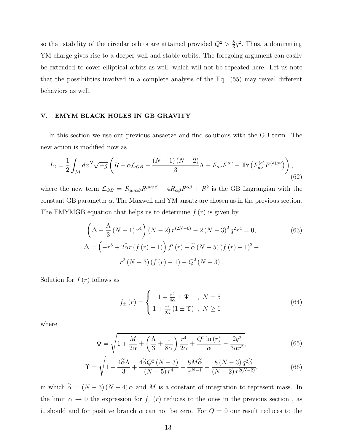so that stability of the circular orbits are attained provided  $Q^2 > \frac{8}{3}$  $\frac{8}{3}q^2$ . Thus, a dominating YM charge gives rise to a deeper well and stable orbits. The foregoing argument can easily be extended to cover elliptical orbits as well, which will not be repeated here. Let us note that the possibilities involved in a complete analysis of the Eq. (55) may reveal different behaviors as well.

## V. EMYM BLACK HOLES IN GB GRAVITY

In this section we use our previous ansaetze and find solutions with the GB term. The new action is modified now as

$$
I_G = \frac{1}{2} \int_{\mathcal{M}} dx^N \sqrt{-g} \left( R + \alpha \mathcal{L}_{GB} - \frac{(N-1)(N-2)}{3} \Lambda - F_{\mu\nu} F^{\mu\nu} - \mathbf{Tr} \left( F_{\mu\nu}^{(a)} F^{(a)\mu\nu} \right) \right),\tag{62}
$$

where the new term  $\mathcal{L}_{GB} = R_{\mu\nu\alpha\beta}R^{\mu\nu\alpha\beta} - 4R_{\alpha\beta}R^{\alpha\beta} + R^2$  is the GB Lagrangian with the constant GB parameter  $\alpha$ . The Maxwell and YM ansatz are chosen as in the previous section. The EMYMGB equation that helps us to determine  $f(r)$  is given by

$$
\left(\Delta - \frac{\Lambda}{3}(N-1)r^4\right)(N-2)r^{(2N-6)} - 2(N-3)^2q^2r^4 = 0,
$$
\n
$$
\Delta = \left(-r^3 + 2\tilde{\alpha}r\left(f\left(r\right) - 1\right)\right)f'\left(r\right) + \tilde{\alpha}\left(N-5\right)\left(f\left(r\right) - 1\right)^2 - r^2\left(N-3\right)\left(f\left(r\right) - 1\right) - Q^2\left(N-3\right).
$$
\n(63)

Solution for  $f(r)$  follows as

$$
f_{\pm}(r) = \begin{cases} 1 + \frac{r^2}{4\alpha} \pm \Psi, & N = 5\\ 1 + \frac{r^2}{2\alpha} (1 \pm \Upsilon), & N \ge 6 \end{cases}
$$
(64)

where

$$
\Psi = \sqrt{1 + \frac{M}{2\alpha} + \left(\frac{\Lambda}{3} + \frac{1}{8\alpha}\right)\frac{r^4}{2\alpha} + \frac{Q^2 \ln(r)}{\alpha} - \frac{2q^2}{3\alpha r^2}},\tag{65}
$$

$$
\Upsilon = \sqrt{1 + \frac{4\widetilde{\alpha}\Lambda}{3} + \frac{4\widetilde{\alpha}Q^2\left(N-3\right)}{\left(N-5\right)r^4} + \frac{8M\widetilde{\alpha}}{r^{N-1}} - \frac{8\left(N-3\right)q^2\widetilde{\alpha}}{\left(N-2\right)r^{2\left(N-2\right)}},\tag{66}
$$

in which  $\tilde{\alpha} = (N-3)(N-4)\alpha$  and M is a constant of integration to represent mass. In the limit  $\alpha \to 0$  the expression for  $f_-(r)$  reduces to the ones in the previous section, as it should and for positive branch  $\alpha$  can not be zero. For  $Q = 0$  our result reduces to the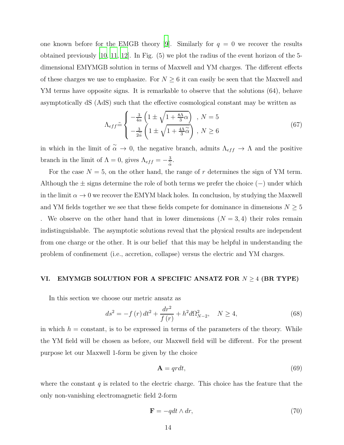one known before for the EMGB theory [\[9\]](#page-19-7). Similarly for  $q = 0$  we recover the results obtained previously [\[10](#page-19-8), [11,](#page-19-9) [12](#page-19-10)]. In Fig. (5) we plot the radius of the event horizon of the 5 dimensional EMYMGB solution in terms of Maxwell and YM charges. The different effects of these charges we use to emphasize. For  $N \geq 6$  it can easily be seen that the Maxwell and YM terms have opposite signs. It is remarkable to observe that the solutions (64), behave asymptotically dS (AdS) such that the effective cosmological constant may be written as

$$
\Lambda_{eff} \tilde{=} \begin{cases}\n-\frac{3}{4\alpha} \left(1 \pm \sqrt{1 + \frac{8\Lambda}{3}\alpha}\right) & , N = 5 \\
-\frac{3}{2\alpha} \left(1 \pm \sqrt{1 + \frac{4\Lambda}{3}\alpha}\right) & , N \ge 6\n\end{cases}
$$
\n(67)

in which in the limit of  $\tilde{\alpha} \to 0$ , the negative branch, admits  $\Lambda_{eff} \to \Lambda$  and the positive branch in the limit of  $\Lambda = 0$ , gives  $\Lambda_{eff} = -\frac{3}{\alpha}$ .

For the case  $N = 5$ , on the other hand, the range of r determines the sign of YM term. Although the  $\pm$  signs determine the role of both terms we prefer the choice ( $-$ ) under which in the limit  $\alpha \to 0$  we recover the EMYM black holes. In conclusion, by studying the Maxwell and YM fields together we see that these fields compete for dominance in dimensions  $N \geq 5$ . We observe on the other hand that in lower dimensions  $(N = 3, 4)$  their roles remain indistinguishable. The asymptotic solutions reveal that the physical results are independent from one charge or the other. It is our belief that this may be helpful in understanding the problem of confinement (i.e., accretion, collapse) versus the electric and YM charges.

## VI. EMYMGB SOLUTION FOR A SPECIFIC ANSATZ FOR  $N \geq 4$  (BR TYPE)

In this section we choose our metric ansatz as

$$
ds^{2} = -f(r) dt^{2} + \frac{dr^{2}}{f(r)} + h^{2} d\Omega_{N-2}^{2}, \quad N \ge 4,
$$
\n(68)

in which  $h = constant$ , is to be expressed in terms of the parameters of the theory. While the YM field will be chosen as before, our Maxwell field will be different. For the present purpose let our Maxwell 1-form be given by the choice

$$
\mathbf{A} = q r dt, \tag{69}
$$

where the constant  $q$  is related to the electric charge. This choice has the feature that the only non-vanishing electromagnetic field 2-form

$$
\mathbf{F} = -qdt \wedge dr,\tag{70}
$$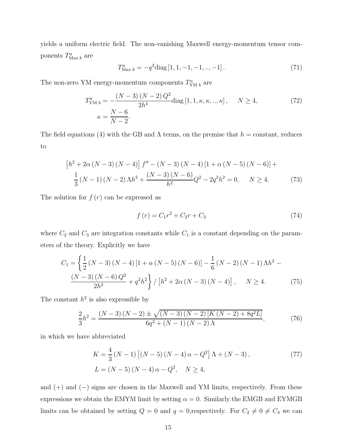yields a uniform electric field. The non-vanishing Maxwell energy-momentum tensor components  $T^a_{\text{Max }b}$  are

$$
T_{\text{Max }b}^{a} = -q^{2} \text{diag}\left[1, 1, -1, -1, \dots, -1\right]. \tag{71}
$$

The non-zero YM energy-momentum components  $T^a_{YM\; b}$  are

$$
T_{\rm YM\,b}^a = -\frac{(N-3)\,(N-2)\,Q^2}{2h^4} \text{diag}\left[1, 1, \kappa, \kappa, ..., \kappa\right], \qquad N \ge 4,
$$
\n
$$
\kappa = \frac{N-6}{N-2}.
$$
\n(72)

The field equations (4) with the GB and  $\Lambda$  terms, on the premise that  $h = constant$ , reduces to

$$
\[h^{2} + 2\alpha (N - 3) (N - 4)\]f'' - (N - 3) (N - 4)\[1 + \alpha (N - 5) (N - 6)\] +
$$
  

$$
\frac{1}{3}(N - 1) (N - 2) \Lambda h^{2} + \frac{(N - 3) (N - 6)}{h^{2}} Q^{2} - 2q^{2} h^{2} = 0, \quad N \ge 4.
$$
 (73)

The solution for  $f(r)$  can be expressed as

$$
f(r) = C_1 r^2 + C_2 r + C_3 \tag{74}
$$

where  $C_2$  and  $C_3$  are integration constants while  $C_1$  is a constant depending on the parameters of the theory. Explicitly we have

$$
C_{1} = \left\{ \frac{1}{2} \left( N - 3 \right) \left( N - 4 \right) \left[ 1 + \alpha \left( N - 5 \right) \left( N - 6 \right) \right] - \frac{1}{6} \left( N - 2 \right) \left( N - 1 \right) \Lambda h^{2} - \frac{\left( N - 3 \right) \left( N - 6 \right) Q^{2}}{2h^{2}} + q^{2} h^{2} \right\} / \left[ h^{2} + 2\alpha \left( N - 3 \right) \left( N - 4 \right) \right], \quad N \ge 4.
$$
 (75)

The constant  $h^2$  is also expressible by

$$
\frac{2}{3}h^2 = \frac{(N-3)(N-2) \pm \sqrt{(N-3)(N-2)[K(N-2) + 8q^2L]}}{6q^2 + (N-1)(N-2)\Lambda},
$$
\n(76)

in which we have abbreviated

$$
K = \frac{4}{3} (N - 1) [(N - 5) (N - 4) \alpha - Q^2] \Lambda + (N - 3),
$$
  
\n
$$
L = (N - 5) (N - 4) \alpha - Q^2, \quad N \ge 4,
$$
\n(77)

and (+) and (−) signs are chosen in the Maxwell and YM limits, respectively. From these expressions we obtain the EMYM limit by setting  $\alpha = 0$ . Similarly the EMGB and EYMGB limits can be obtained by setting  $Q = 0$  and  $q = 0$ , respectively. For  $C_2 \neq 0 \neq C_3$  we can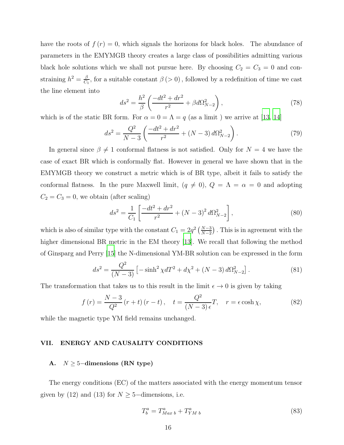have the roots of  $f(r) = 0$ , which signals the horizons for black holes. The abundance of parameters in the EMYMGB theory creates a large class of possibilities admitting various black hole solutions which we shall not pursue here. By choosing  $C_2 = C_3 = 0$  and constraining  $h^2 = \frac{\beta}{C}$  $\frac{\beta}{C_1}$ , for a suitable constant  $\beta$  (> 0), followed by a redefinition of time we cast the line element into

$$
ds^{2} = \frac{h^{2}}{\beta} \left( \frac{-dt^{2} + dr^{2}}{r^{2}} + \beta d\Omega_{N-2}^{2} \right),
$$
\n(78)

which is of the static BR form. For  $\alpha = 0 = \Lambda = q$  (as a limit) we arrive at [\[13,](#page-19-11) [14\]](#page-19-12)

$$
ds^{2} = \frac{Q^{2}}{N-3} \left( \frac{-dt^{2} + dr^{2}}{r^{2}} + (N-3) d\Omega_{N-2}^{2} \right).
$$
 (79)

In general since  $\beta \neq 1$  conformal flatness is not satisfied. Only for  $N = 4$  we have the case of exact BR which is conformally flat. However in general we have shown that in the EMYMGB theory we construct a metric which is of BR type, albeit it fails to satisfy the conformal flatness. In the pure Maxwell limit,  $(q \neq 0)$ ,  $Q = \Lambda = \alpha = 0$  and adopting  $C_2 = C_3 = 0$ , we obtain (after scaling)

$$
ds^{2} = \frac{1}{C_{1}} \left[ \frac{-dt^{2} + dr^{2}}{r^{2}} + (N - 3)^{2} d\Omega_{N-2}^{2} \right],
$$
\n(80)

which is also of similar type with the constant  $C_1 = 2q^2 \left(\frac{N-3}{N-2}\right)$ . This is in agreement with the higher dimensional BR metric in the EM theory [\[13\]](#page-19-11). We recall that following the method of Ginsparg and Perry [\[15](#page-19-13)] the N-dimensional YM-BR solution can be expressed in the form

$$
ds^{2} = \frac{Q^{2}}{(N-3)} \left[ -\sinh^{2} \chi dT^{2} + d\chi^{2} + (N-3) d\Omega_{N-2}^{2} \right].
$$
 (81)

The transformation that takes us to this result in the limit  $\epsilon \to 0$  is given by taking

$$
f(r) = \frac{N-3}{Q^2}(r+t)\left(r-t\right), \quad t = \frac{Q^2}{(N-3)\epsilon}T, \quad r = \epsilon \cosh \chi,\tag{82}
$$

while the magnetic type YM field remains unchanged.

## VII. ENERGY AND CAUSALITY CONDITIONS

## A.  $N \geq 5$ -dimensions (RN type)

The energy conditions (EC) of the matters associated with the energy momentum tensor given by (12) and (13) for  $N \geq 5$ -dimensions, i.e.

$$
T_b^a = T_{Max\ b}^a + T_{YM\ b}^a \tag{83}
$$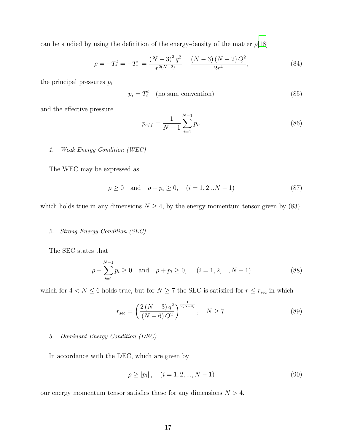can be studied by using the definition of the energy-density of the matter  $\rho$ [\[18\]](#page-19-14)

$$
\rho = -T_t^t = -T_r^r = \frac{(N-3)^2 q^2}{r^{2(N-2)}} + \frac{(N-3)(N-2)Q^2}{2r^4},\tag{84}
$$

the principal pressures  $p_i$ 

$$
p_i = T_i^i \quad \text{(no sum convention)} \tag{85}
$$

and the effective pressure

$$
p_{eff} = \frac{1}{N-1} \sum_{i=1}^{N-1} p_i.
$$
 (86)

## 1. Weak Energy Condition (WEC)

The WEC may be expressed as

$$
\rho \ge 0 \quad \text{and} \quad \rho + p_i \ge 0, \quad (i = 1, 2...N - 1)
$$
\n(87)

which holds true in any dimensions  $N \geq 4$ , by the energy momentum tensor given by (83).

## 2. Strong Energy Condition (SEC)

The SEC states that

$$
\rho + \sum_{i=1}^{N-1} p_i \ge 0
$$
 and  $\rho + p_i \ge 0$ ,  $(i = 1, 2, ..., N - 1)$  (88)

which for  $4 < N \leq 6$  holds true, but for  $N \geq 7$  the SEC is satisfied for  $r \leq r_{\text{sec}}$  in which

$$
r_{\rm sec} = \left(\frac{2\left(N-3\right)q^2}{\left(N-6\right)Q^2}\right)^{\frac{1}{2\left(N-4\right)}}, \quad N \ge 7. \tag{89}
$$

## 3. Dominant Energy Condition (DEC)

In accordance with the DEC, which are given by

$$
\rho \ge |p_i|, \quad (i = 1, 2, ..., N - 1)
$$
\n(90)

our energy momentum tensor satisfies these for any dimensions  $N > 4$ .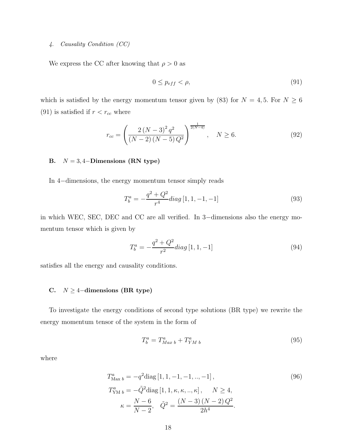## 4. Causality Condition (CC)

We express the CC after knowing that  $\rho > 0$  as

$$
0 \le p_{eff} < \rho,\tag{91}
$$

which is satisfied by the energy momentum tensor given by (83) for  $N = 4, 5$ . For  $N \ge 6$ (91) is satisfied if  $r < r_{cc}$  where

$$
r_{cc} = \left(\frac{2\left(N-3\right)^2 q^2}{\left(N-2\right)\left(N-5\right) Q^2}\right)^{\frac{1}{2\left(N-4\right)}}, \quad N \ge 6. \tag{92}
$$

# B.  $N = 3, 4$ -Dimensions (RN type)

In 4−dimensions, the energy momentum tensor simply reads

$$
T_b^a = -\frac{q^2 + Q^2}{r^4} diag\left[1, 1, -1, -1\right]
$$
\n(93)

in which WEC, SEC, DEC and CC are all verified. In 3−dimensions also the energy momentum tensor which is given by

$$
T_b^a = -\frac{q^2 + Q^2}{r^2} diag\left[1, 1, -1\right]
$$
\n(94)

satisfies all the energy and causality conditions.

## C.  $N \geq 4$ -dimensions (BR type)

To investigate the energy conditions of second type solutions (BR type) we rewrite the energy momentum tensor of the system in the form of

$$
T_b^a = T_{Max\ b}^a + T_{YM\ b}^a \tag{95}
$$

where

$$
T_{\text{Max }b}^{a} = -q^{2} \text{diag}[1, 1, -1, -1, ..., -1],
$$
\n
$$
T_{\text{YM }b}^{a} = -\tilde{Q}^{2} \text{diag}[1, 1, \kappa, \kappa, ..., \kappa], \qquad N \ge 4,
$$
\n
$$
\kappa = \frac{N - 6}{N - 2}, \quad \tilde{Q}^{2} = \frac{(N - 3)(N - 2)Q^{2}}{2h^{4}}.
$$
\n(96)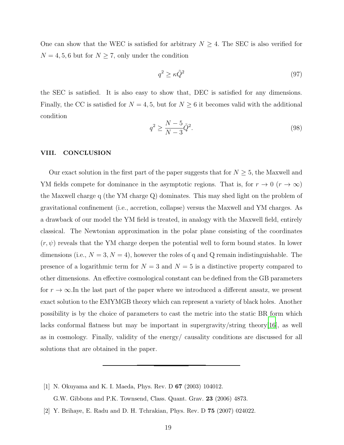One can show that the WEC is satisfied for arbitrary  $N \geq 4$ . The SEC is also verified for  $N = 4, 5, 6$  but for  $N \ge 7$ , only under the condition

$$
q^2 \ge \kappa \tilde{Q}^2 \tag{97}
$$

the SEC is satisfied. It is also easy to show that, DEC is satisfied for any dimensions. Finally, the CC is satisfied for  $N = 4, 5$ , but for  $N \geq 6$  it becomes valid with the additional condition

$$
q^2 \ge \frac{N-5}{N-3}\tilde{Q}^2. \tag{98}
$$

## VIII. CONCLUSION

Our exact solution in the first part of the paper suggests that for  $N \geq 5$ , the Maxwell and YM fields compete for dominance in the asymptotic regions. That is, for  $r \to 0$   $(r \to \infty)$ the Maxwell charge q (the YM charge Q) dominates. This may shed light on the problem of gravitational confinement (i.e., accretion, collapse) versus the Maxwell and YM charges. As a drawback of our model the YM field is treated, in analogy with the Maxwell field, entirely classical. The Newtonian approximation in the polar plane consisting of the coordinates  $(r, \psi)$  reveals that the YM charge deepen the potential well to form bound states. In lower dimensions (i.e.,  $N = 3, N = 4$ ), however the roles of q and Q remain indistinguishable. The presence of a logarithmic term for  $N = 3$  and  $N = 5$  is a distinctive property compared to other dimensions. An effective cosmological constant can be defined from the GB parameters for  $r \to \infty$ . In the last part of the paper where we introduced a different ansatz, we present exact solution to the EMYMGB theory which can represent a variety of black holes. Another possibility is by the choice of parameters to cast the metric into the static BR form which lacks conformal flatness but may be important in supergravity/string theory[\[16\]](#page-19-15), as well as in cosmology. Finally, validity of the energy/ causality conditions are discussed for all solutions that are obtained in the paper.

<span id="page-18-0"></span>[1] N. Okuyama and K. I. Maeda, Phys. Rev. D 67 (2003) 104012.

G.W. Gibbons and P.K. Townsend, Class. Quant. Grav. 23 (2006) 4873.

<span id="page-18-1"></span>[2] Y. Brihaye, E. Radu and D. H. Tchrakian, Phys. Rev. D 75 (2007) 024022.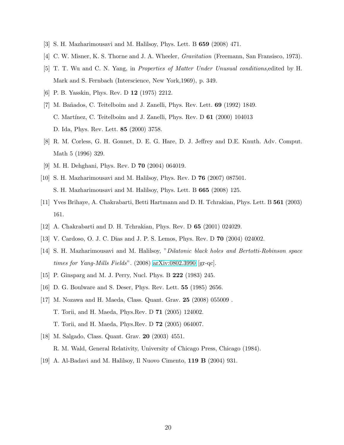- <span id="page-19-2"></span><span id="page-19-0"></span>[3] S. H. Mazharimousavi and M. Halilsoy, Phys. Lett. B 659 (2008) 471.
- <span id="page-19-3"></span>[4] C. W. Misner, K. S. Thorne and J. A. Wheeler, Gravitation (Freemann, San Fransisco, 1973).
- [5] T. T. Wu and C. N. Yang, in Properties of Matter Under Unusual conditions,edited by H. Mark and S. Fernbach (Interscience, New York,1969), p. 349.
- <span id="page-19-5"></span><span id="page-19-4"></span>[6] P. B. Yasskin, Phys. Rev. D 12 (1975) 2212.
- [7] M. Bañados, C. Teitelboim and J. Zanelli, Phys. Rev. Lett. **69** (1992) 1849. C. Martínez, C. Teitelboim and J. Zanelli, Phys. Rev. D 61 (2000) 104013 D. Ida, Phys. Rev. Lett. 85 (2000) 3758.
- <span id="page-19-6"></span>[8] R. M. Corless, G. H. Gonnet, D. E. G. Hare, D. J. Jeffrey and D.E. Knuth. Adv. Comput. Math 5 (1996) 329.
- <span id="page-19-8"></span><span id="page-19-7"></span>[9] M. H. Dehghani, Phys. Rev. D 70 (2004) 064019.
- [10] S. H. Mazharimousavi and M. Halilsoy, Phys. Rev. D 76 (2007) 087501. S. H. Mazharimousavi and M. Halilsoy, Phys. Lett. B 665 (2008) 125.
- <span id="page-19-9"></span>[11] Yves Brihaye, A. Chakrabarti, Betti Hartmann and D. H. Tchrakian, Phys. Lett. B 561 (2003) 161.
- <span id="page-19-11"></span><span id="page-19-10"></span>[12] A. Chakrabarti and D. H. Tchrakian, Phys. Rev. D 65 (2001) 024029.
- [13] V. Cardoso, O. J. C. Dias and J. P. S. Lemos, Phys. Rev. D 70 (2004) 024002.
- <span id="page-19-12"></span>[14] S. H. Mazharimousavi and M. Halilsoy, "Dilatonic black holes and Bertotti-Robinson space times for Yang-Mills Fields". (2008) [arXiv:0802.3990](http://arxiv.org/abs/0802.3990) [gr-qc].
- <span id="page-19-13"></span>[15] P. Ginsparg and M. J. Perry, Nucl. Phys. B 222 (1983) 245.
- <span id="page-19-15"></span>[16] D. G. Boulware and S. Deser, Phys. Rev. Lett. 55 (1985) 2656.
- <span id="page-19-1"></span>[17] M. Nozawa and H. Maeda, Class. Quant. Grav. 25 (2008) 055009 . T. Torii, and H. Maeda, Phys.Rev. D 71 (2005) 124002. T. Torii, and H. Maeda, Phys.Rev. D 72 (2005) 064007.
- <span id="page-19-14"></span>[18] M. Salgado, Class. Quant. Grav. 20 (2003) 4551. R. M. Wald, General Relativity, University of Chicago Press, Chicago (1984).
- [19] A. Al-Badavi and M. Halilsoy, Il Nuovo Cimento, 119 B (2004) 931.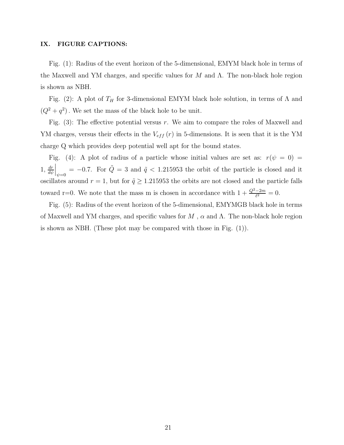## IX. FIGURE CAPTIONS:

Fig. (1): Radius of the event horizon of the 5-dimensional, EMYM black hole in terms of the Maxwell and YM charges, and specific values for M and  $\Lambda$ . The non-black hole region is shown as NBH.

Fig. (2): A plot of  $T_H$  for 3-dimensional EMYM black hole solution, in terms of  $\Lambda$  and  $(Q^2 + q^2)$ . We set the mass of the black hole to be unit.

Fig.  $(3)$ : The effective potential versus r. We aim to compare the roles of Maxwell and YM charges, versus their effects in the  $V_{eff}(r)$  in 5-dimensions. It is seen that it is the YM charge Q which provides deep potential well apt for the bound states.

Fig. (4): A plot of radius of a particle whose initial values are set as:  $r(\psi = 0)$  =  $1, \frac{dr}{dt}$  $d\psi$  $\Big|_{\psi=0}$  = -0.7. For  $\tilde{Q} = 3$  and  $\tilde{q} < 1.215953$  the orbit of the particle is closed and it oscillates around  $r = 1$ , but for  $\tilde{q} \ge 1.215953$  the orbits are not closed and the particle falls toward r=0. We note that the mass m is chosen in accordance with  $1 + \frac{Q^2 - 2m}{\ell^2} = 0$ .

Fig. (5): Radius of the event horizon of the 5-dimensional, EMYMGB black hole in terms of Maxwell and YM charges, and specific values for  $M$ ,  $\alpha$  and  $\Lambda$ . The non-black hole region is shown as NBH. (These plot may be compared with those in Fig. (1)).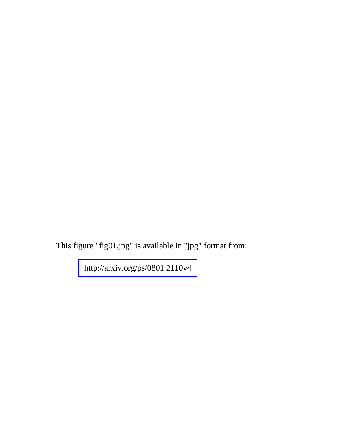This figure "fig01.jpg" is available in "jpg" format from: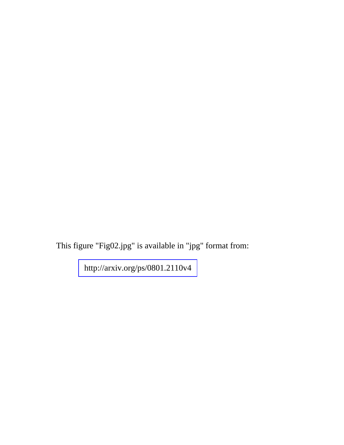This figure "Fig02.jpg" is available in "jpg" format from: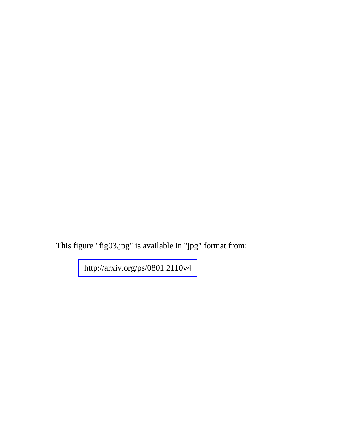This figure "fig03.jpg" is available in "jpg" format from: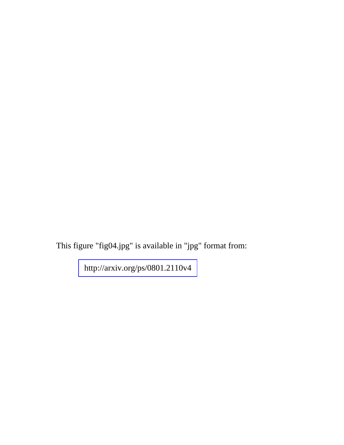This figure "fig04.jpg" is available in "jpg" format from: